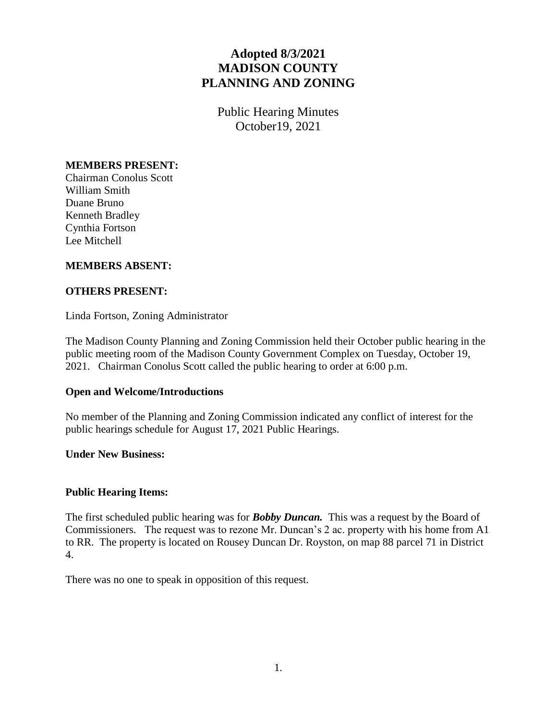# **Adopted 8/3/2021 MADISON COUNTY PLANNING AND ZONING**

Public Hearing Minutes October19, 2021

# **MEMBERS PRESENT:**

Chairman Conolus Scott William Smith Duane Bruno Kenneth Bradley Cynthia Fortson Lee Mitchell

# **MEMBERS ABSENT:**

### **OTHERS PRESENT:**

Linda Fortson, Zoning Administrator

The Madison County Planning and Zoning Commission held their October public hearing in the public meeting room of the Madison County Government Complex on Tuesday, October 19, 2021. Chairman Conolus Scott called the public hearing to order at 6:00 p.m.

### **Open and Welcome/Introductions**

No member of the Planning and Zoning Commission indicated any conflict of interest for the public hearings schedule for August 17, 2021 Public Hearings.

#### **Under New Business:**

### **Public Hearing Items:**

The first scheduled public hearing was for *Bobby Duncan.* This was a request by the Board of Commissioners. The request was to rezone Mr. Duncan's 2 ac. property with his home from A1 to RR. The property is located on Rousey Duncan Dr. Royston, on map 88 parcel 71 in District 4.

There was no one to speak in opposition of this request.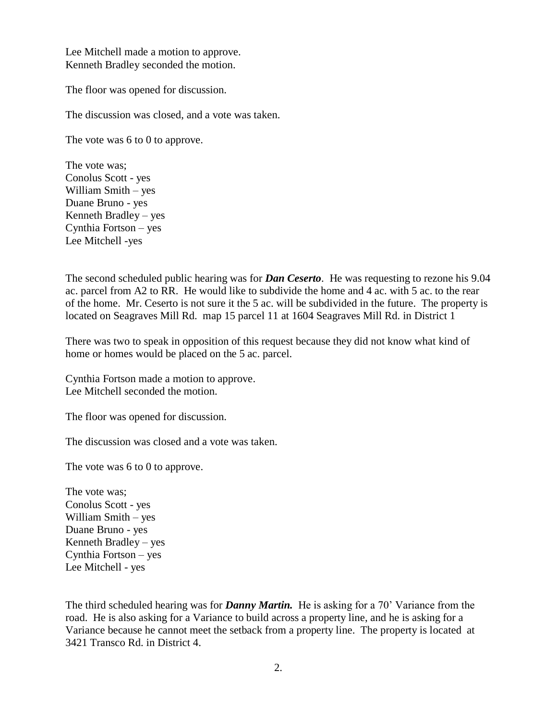Lee Mitchell made a motion to approve. Kenneth Bradley seconded the motion.

The floor was opened for discussion.

The discussion was closed, and a vote was taken.

The vote was 6 to 0 to approve.

The vote was; Conolus Scott - yes William Smith – yes Duane Bruno - yes Kenneth Bradley – yes Cynthia Fortson – yes Lee Mitchell -yes

The second scheduled public hearing was for *Dan Ceserto*. He was requesting to rezone his 9.04 ac. parcel from A2 to RR. He would like to subdivide the home and 4 ac. with 5 ac. to the rear of the home. Mr. Ceserto is not sure it the 5 ac. will be subdivided in the future. The property is located on Seagraves Mill Rd. map 15 parcel 11 at 1604 Seagraves Mill Rd. in District 1

There was two to speak in opposition of this request because they did not know what kind of home or homes would be placed on the 5 ac. parcel.

Cynthia Fortson made a motion to approve. Lee Mitchell seconded the motion.

The floor was opened for discussion.

The discussion was closed and a vote was taken.

The vote was 6 to 0 to approve.

The vote was; Conolus Scott - yes William Smith – yes Duane Bruno - yes Kenneth Bradley – yes Cynthia Fortson – yes Lee Mitchell - yes

The third scheduled hearing was for *Danny Martin.* He is asking for a 70' Variance from the road. He is also asking for a Variance to build across a property line, and he is asking for a Variance because he cannot meet the setback from a property line. The property is located at 3421 Transco Rd. in District 4.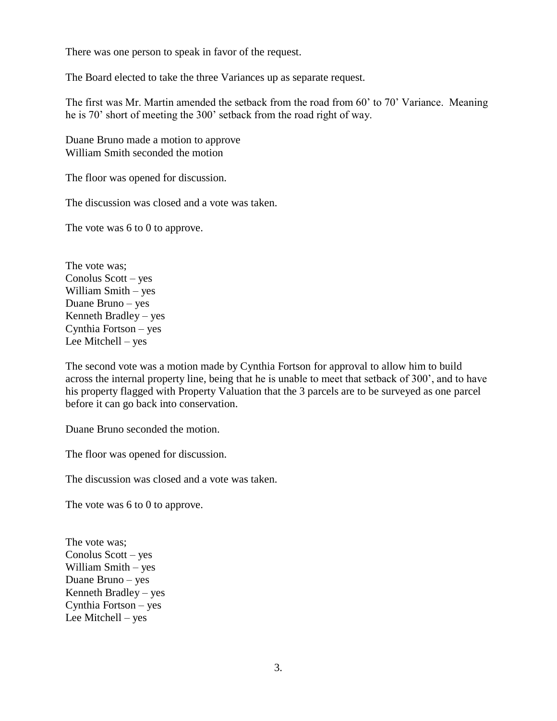There was one person to speak in favor of the request.

The Board elected to take the three Variances up as separate request.

The first was Mr. Martin amended the setback from the road from 60' to 70' Variance. Meaning he is 70' short of meeting the 300' setback from the road right of way.

Duane Bruno made a motion to approve William Smith seconded the motion

The floor was opened for discussion.

The discussion was closed and a vote was taken.

The vote was 6 to 0 to approve.

The vote was; Conolus Scott – yes William Smith – yes Duane Bruno – yes Kenneth Bradley – yes Cynthia Fortson – yes Lee Mitchell – yes

The second vote was a motion made by Cynthia Fortson for approval to allow him to build across the internal property line, being that he is unable to meet that setback of 300', and to have his property flagged with Property Valuation that the 3 parcels are to be surveyed as one parcel before it can go back into conservation.

Duane Bruno seconded the motion.

The floor was opened for discussion.

The discussion was closed and a vote was taken.

The vote was 6 to 0 to approve.

The vote was; Conolus Scott – yes William Smith – yes Duane Bruno – yes Kenneth Bradley – yes Cynthia Fortson – yes Lee Mitchell – yes